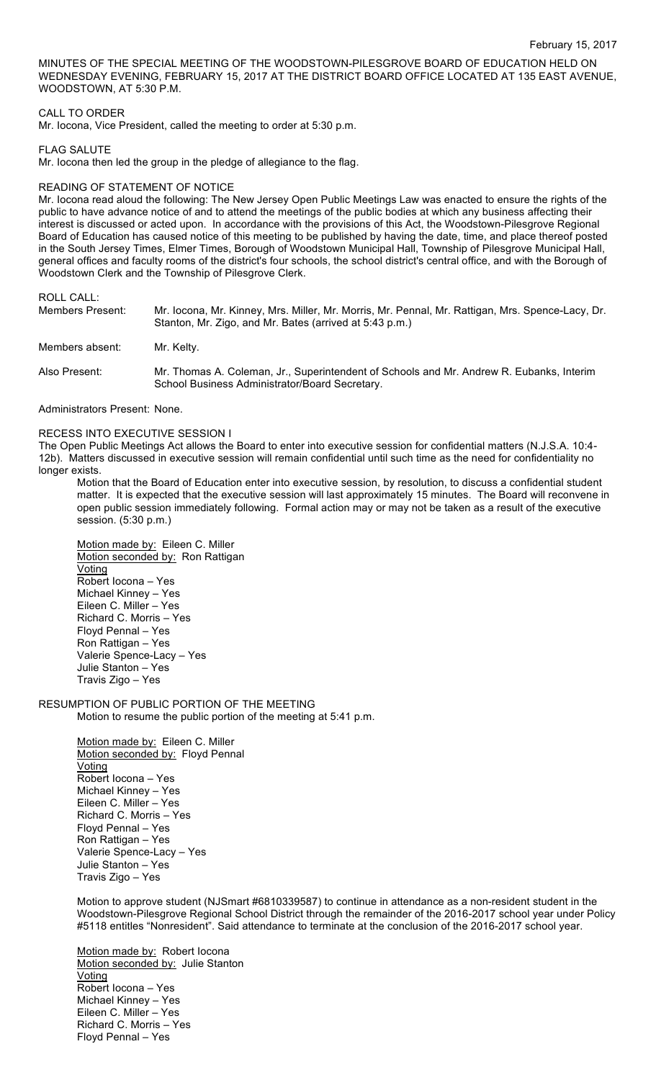MINUTES OF THE SPECIAL MEETING OF THE WOODSTOWN-PILESGROVE BOARD OF EDUCATION HELD ON WEDNESDAY EVENING, FEBRUARY 15, 2017 AT THE DISTRICT BOARD OFFICE LOCATED AT 135 EAST AVENUE, WOODSTOWN, AT 5:30 P.M.

### CALL TO ORDER

Mr. Iocona, Vice President, called the meeting to order at 5:30 p.m.

FLAG SALUTE

Mr. Iocona then led the group in the pledge of allegiance to the flag.

#### READING OF STATEMENT OF NOTICE

Mr. Iocona read aloud the following: The New Jersey Open Public Meetings Law was enacted to ensure the rights of the public to have advance notice of and to attend the meetings of the public bodies at which any business affecting their interest is discussed or acted upon. In accordance with the provisions of this Act, the Woodstown-Pilesgrove Regional Board of Education has caused notice of this meeting to be published by having the date, time, and place thereof posted in the South Jersey Times, Elmer Times, Borough of Woodstown Municipal Hall, Township of Pilesgrove Municipal Hall, general offices and faculty rooms of the district's four schools, the school district's central office, and with the Borough of Woodstown Clerk and the Township of Pilesgrove Clerk.

ROLL CALL:

| Members Present: | Mr. locona, Mr. Kinney, Mrs. Miller, Mr. Morris, Mr. Pennal, Mr. Rattigan, Mrs. Spence-Lacy, Dr.<br>Stanton, Mr. Zigo, and Mr. Bates (arrived at 5:43 p.m.) |
|------------------|-------------------------------------------------------------------------------------------------------------------------------------------------------------|
| Members absent:  | Mr. Kelty.                                                                                                                                                  |
| Also Present:    | Mr. Thomas A. Coleman, Jr., Superintendent of Schools and Mr. Andrew R. Eubanks, Interim<br>School Business Administrator/Board Secretary.                  |

Administrators Present: None.

#### RECESS INTO EXECUTIVE SESSION I

The Open Public Meetings Act allows the Board to enter into executive session for confidential matters (N.J.S.A. 10:4- 12b). Matters discussed in executive session will remain confidential until such time as the need for confidentiality no longer exists.

Motion that the Board of Education enter into executive session, by resolution, to discuss a confidential student matter. It is expected that the executive session will last approximately 15 minutes. The Board will reconvene in open public session immediately following. Formal action may or may not be taken as a result of the executive session. (5:30 p.m.)

Motion made by: Eileen C. Miller Motion seconded by: Ron Rattigan Voting Robert Iocona – Yes Michael Kinney – Yes Eileen C. Miller – Yes Richard C. Morris – Yes Floyd Pennal – Yes Ron Rattigan – Yes Valerie Spence-Lacy – Yes Julie Stanton – Yes Travis Zigo – Yes

## RESUMPTION OF PUBLIC PORTION OF THE MEETING

Motion to resume the public portion of the meeting at 5:41 p.m.

Motion made by: Eileen C. Miller Motion seconded by: Floyd Pennal **Voting** Robert Iocona – Yes Michael Kinney – Yes Eileen C. Miller – Yes Richard C. Morris – Yes Floyd Pennal – Yes Ron Rattigan – Yes Valerie Spence-Lacy – Yes Julie Stanton – Yes Travis Zigo – Yes

Motion to approve student (NJSmart #6810339587) to continue in attendance as a non-resident student in the Woodstown-Pilesgrove Regional School District through the remainder of the 2016-2017 school year under Policy #5118 entitles "Nonresident". Said attendance to terminate at the conclusion of the 2016-2017 school year.

Motion made by: Robert locona Motion seconded by: Julie Stanton Voting Robert Iocona – Yes Michael Kinney – Yes Eileen C. Miller – Yes Richard C. Morris – Yes Floyd Pennal – Yes